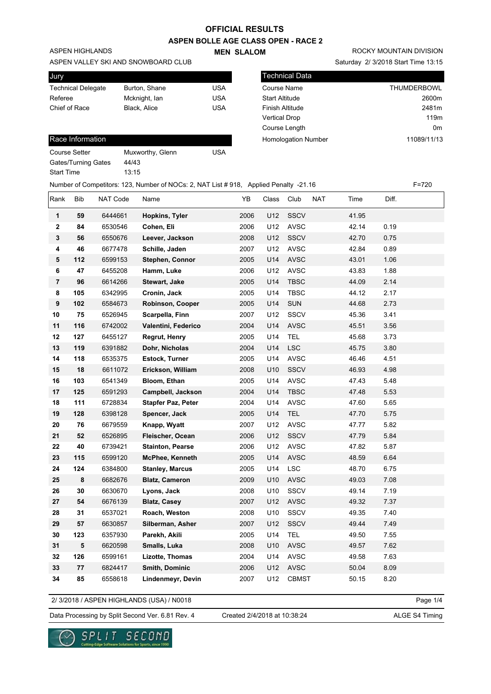**MEN SLALOM** 

**ASPEN BOLLE AGE CLASS OPEN - RACE 2**

ASPEN HIGHLANDS

#### ASPEN VALLEY SKI AND SNOWBOARD CLUB

| Jury                      |               |     |
|---------------------------|---------------|-----|
| <b>Technical Delegate</b> | Burton, Shane | USA |
| Referee                   | Mcknight, lan | USA |
| Chief of Race             | Black, Alice  | USA |
|                           |               |     |

### Race Information

| Course Setter       | Muxworthy, Glenn | USA |
|---------------------|------------------|-----|
| Gates/Turning Gates | 44/43            |     |
| Start Time          | 13:15            |     |
|                     |                  |     |

|  | ROCKY MOUNTAIN DIVISION |  |
|--|-------------------------|--|
|  |                         |  |

Saturday 2/ 3/2018 Start Time 13:15

| l Technical Data           |                    |
|----------------------------|--------------------|
| Course Name                | <b>THUMDERBOWL</b> |
| <b>Start Altitude</b>      | 2600m              |
| <b>Finish Altitude</b>     | 2481m              |
| <b>Vertical Drop</b>       | 119 <sub>m</sub>   |
| Course Length              | 0 <sub>m</sub>     |
| <b>Homologation Number</b> | 11089/11/13        |
|                            |                    |

|                |            |          | Number of Competitors: 123, Number of NOCs: 2, NAT List #918, Applied Penalty -21.16 |      |       |              |     |       |       | $F = 720$ |
|----------------|------------|----------|--------------------------------------------------------------------------------------|------|-------|--------------|-----|-------|-------|-----------|
| Rank           | <b>Bib</b> | NAT Code | Name                                                                                 | YB   | Class | Club         | NAT | Time  | Diff. |           |
| $\mathbf{1}$   | 59         | 6444661  | Hopkins, Tyler                                                                       | 2006 | U12   | SSCV         |     | 41.95 |       |           |
| $\mathbf{2}$   | 84         | 6530546  | Cohen, Eli                                                                           | 2006 | U12   | AVSC         |     | 42.14 | 0.19  |           |
| $\mathbf{3}$   | 56         | 6550676  | Leever, Jackson                                                                      | 2008 | U12   | SSCV         |     | 42.70 | 0.75  |           |
| 4              | 46         | 6677478  | Schille, Jaden                                                                       | 2007 | U12   | <b>AVSC</b>  |     | 42.84 | 0.89  |           |
| 5              | 112        | 6599153  | Stephen, Connor                                                                      | 2005 | U14   | AVSC         |     | 43.01 | 1.06  |           |
| 6              | 47         | 6455208  | Hamm, Luke                                                                           | 2006 | U12   | <b>AVSC</b>  |     | 43.83 | 1.88  |           |
| $\overline{7}$ | 96         | 6614266  | Stewart, Jake                                                                        | 2005 | U14   | <b>TBSC</b>  |     | 44.09 | 2.14  |           |
| 8              | 105        | 6342995  | Cronin, Jack                                                                         | 2005 | U14   | <b>TBSC</b>  |     | 44.12 | 2.17  |           |
| 9              | 102        | 6584673  | Robinson, Cooper                                                                     | 2005 | U14   | SUN          |     | 44.68 | 2.73  |           |
| 10             | 75         | 6526945  | Scarpella, Finn                                                                      | 2007 | U12   | SSCV         |     | 45.36 | 3.41  |           |
| 11             | 116        | 6742002  | Valentini, Federico                                                                  | 2004 | U14   | <b>AVSC</b>  |     | 45.51 | 3.56  |           |
| 12             | 127        | 6455127  | Regrut, Henry                                                                        | 2005 | U14   | <b>TEL</b>   |     | 45.68 | 3.73  |           |
| 13             | 119        | 6391882  | Dohr, Nicholas                                                                       | 2004 | U14   | <b>LSC</b>   |     | 45.75 | 3.80  |           |
| 14             | 118        | 6535375  | Estock, Turner                                                                       | 2005 | U14   | <b>AVSC</b>  |     | 46.46 | 4.51  |           |
| 15             | 18         | 6611072  | Erickson, William                                                                    | 2008 | U10   | SSCV         |     | 46.93 | 4.98  |           |
| 16             | 103        | 6541349  | Bloom, Ethan                                                                         | 2005 | U14   | <b>AVSC</b>  |     | 47.43 | 5.48  |           |
| 17             | 125        | 6591293  | Campbell, Jackson                                                                    | 2004 | U14   | <b>TBSC</b>  |     | 47.48 | 5.53  |           |
| 18             | 111        | 6728834  | <b>Stapfer Paz, Peter</b>                                                            | 2004 | U14   | AVSC         |     | 47.60 | 5.65  |           |
| 19             | 128        | 6398128  | Spencer, Jack                                                                        | 2005 | U14   | <b>TEL</b>   |     | 47.70 | 5.75  |           |
| 20             | 76         | 6679559  | Knapp, Wyatt                                                                         | 2007 | U12   | <b>AVSC</b>  |     | 47.77 | 5.82  |           |
| 21             | 52         | 6526895  | Fleischer, Ocean                                                                     | 2006 | U12   | <b>SSCV</b>  |     | 47.79 | 5.84  |           |
| 22             | 40         | 6739421  | <b>Stainton, Pearse</b>                                                              | 2006 | U12   | <b>AVSC</b>  |     | 47.82 | 5.87  |           |
| 23             | 115        | 6599120  | <b>McPhee, Kenneth</b>                                                               | 2005 | U14   | <b>AVSC</b>  |     | 48.59 | 6.64  |           |
| 24             | 124        | 6384800  | <b>Stanley, Marcus</b>                                                               | 2005 | U14   | <b>LSC</b>   |     | 48.70 | 6.75  |           |
| 25             | 8          | 6682676  | <b>Blatz, Cameron</b>                                                                | 2009 | U10   | <b>AVSC</b>  |     | 49.03 | 7.08  |           |
| 26             | 30         | 6630670  | Lyons, Jack                                                                          | 2008 | U10   | SSCV         |     | 49.14 | 7.19  |           |
| 27             | 54         | 6676139  | <b>Blatz, Casey</b>                                                                  | 2007 | U12   | <b>AVSC</b>  |     | 49.32 | 7.37  |           |
| 28             | 31         | 6537021  | Roach, Weston                                                                        | 2008 | U10   | SSCV         |     | 49.35 | 7.40  |           |
| 29             | 57         | 6630857  | Silberman, Asher                                                                     | 2007 | U12   | SSCV         |     | 49.44 | 7.49  |           |
| 30             | 123        | 6357930  | Parekh, Akili                                                                        | 2005 | U14   | <b>TEL</b>   |     | 49.50 | 7.55  |           |
| 31             | 5          | 6620598  | Smalls, Luka                                                                         | 2008 | U10   | <b>AVSC</b>  |     | 49.57 | 7.62  |           |
| 32             | 126        | 6599161  | Lizotte, Thomas                                                                      | 2004 | U14   | <b>AVSC</b>  |     | 49.58 | 7.63  |           |
| 33             | 77         | 6824417  | Smith, Dominic                                                                       | 2006 | U12   | <b>AVSC</b>  |     | 50.04 | 8.09  |           |
| 34             | 85         | 6558618  | Lindenmeyr, Devin                                                                    | 2007 | U12   | <b>CBMST</b> |     | 50.15 | 8.20  |           |

2/ 3/2018 / ASPEN HIGHLANDS (USA) / N0018

Page 1/4

### Data Processing by Split Second Ver. 6.81 Rev. 4 Created 2/4/2018 at 10:38:24 ALGE S4 Timing

Created 2/4/2018 at 10:38:24

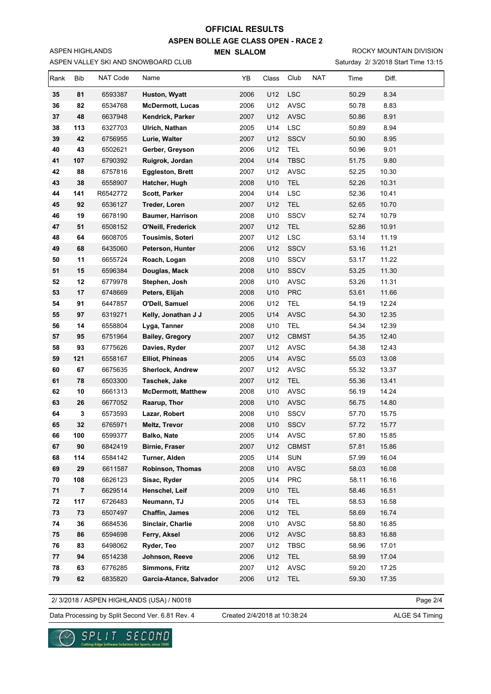**ASPEN BOLLE AGE CLASS OPEN - RACE 2**

**MEN SLALOM** 

Saturday 2/ 3/2018 Start Time 13:15 ROCKY MOUNTAIN DIVISION

| Rank | <b>Bib</b> | NAT Code | Name                      | YB   | Class | Club         | <b>NAT</b><br>Time | Diff. |  |
|------|------------|----------|---------------------------|------|-------|--------------|--------------------|-------|--|
| 35   | 81         | 6593387  | Huston, Wyatt             | 2006 | U12   | <b>LSC</b>   | 50.29              | 8.34  |  |
| 36   | 82         | 6534768  | <b>McDermott, Lucas</b>   | 2006 | U12   | <b>AVSC</b>  | 50.78              | 8.83  |  |
| 37   | 48         | 6637948  | Kendrick, Parker          | 2007 | U12   | AVSC         | 50.86              | 8.91  |  |
| 38   | 113        | 6327703  | Ulrich, Nathan            | 2005 | U14   | <b>LSC</b>   | 50.89              | 8.94  |  |
| 39   | 42         | 6756955  | Lurie, Walter             | 2007 | U12   | SSCV         | 50.90              | 8.95  |  |
| 40   | 43         | 6502621  | Gerber, Greyson           | 2006 | U12   | <b>TEL</b>   | 50.96              | 9.01  |  |
| 41   | 107        | 6790392  | Ruigrok, Jordan           | 2004 | U14   | <b>TBSC</b>  | 51.75              | 9.80  |  |
| 42   | 88         | 6757816  | <b>Eggleston, Brett</b>   | 2007 | U12   | <b>AVSC</b>  | 52.25              | 10.30 |  |
| 43   | 38         | 6558907  | Hatcher, Hugh             | 2008 | U10   | <b>TEL</b>   | 52.26              | 10.31 |  |
| 44   | 141        | R6542772 | Scott, Parker             | 2004 | U14   | <b>LSC</b>   | 52.36              | 10.41 |  |
| 45   | 92         | 6536127  | Treder, Loren             | 2007 | U12   | <b>TEL</b>   | 52.65              | 10.70 |  |
| 46   | 19         | 6678190  | <b>Baumer, Harrison</b>   | 2008 | U10   | SSCV         | 52.74              | 10.79 |  |
| 47   | 51         | 6508152  | O'Neill, Frederick        | 2007 | U12   | <b>TEL</b>   | 52.86              | 10.91 |  |
| 48   | 64         | 6608705  | Tousimis, Soteri          | 2007 | U12   | <b>LSC</b>   | 53.14              | 11.19 |  |
| 49   | 68         | 6435060  | Peterson, Hunter          | 2006 | U12   | SSCV         | 53.16              | 11.21 |  |
| 50   | 11         | 6655724  | Roach, Logan              | 2008 | U10   | <b>SSCV</b>  | 53.17              | 11.22 |  |
| 51   | 15         | 6596384  | Douglas, Mack             | 2008 | U10   | SSCV         | 53.25              | 11.30 |  |
| 52   | 12         | 6779978  | Stephen, Josh             | 2008 | U10   | <b>AVSC</b>  | 53.26              | 11.31 |  |
| 53   | 17         | 6748669  | Peters, Elijah            | 2008 | U10   | <b>PRC</b>   | 53.61              | 11.66 |  |
| 54   | 91         | 6447857  | O'Dell, Samuel            | 2006 | U12   | <b>TEL</b>   | 54.19              | 12.24 |  |
| 55   | 97         | 6319271  | Kelly, Jonathan J J       | 2005 | U14   | AVSC         | 54.30              | 12.35 |  |
| 56   | 14         | 6558804  | Lyga, Tanner              | 2008 | U10   | <b>TEL</b>   | 54.34              | 12.39 |  |
| 57   | 95         | 6751964  | <b>Bailey, Gregory</b>    | 2007 | U12   | <b>CBMST</b> | 54.35              | 12.40 |  |
| 58   | 93         | 6775626  | Davies, Ryder             | 2007 | U12   | <b>AVSC</b>  | 54.38              | 12.43 |  |
| 59   | 121        | 6558167  | <b>Elliot, Phineas</b>    | 2005 | U14   | <b>AVSC</b>  | 55.03              | 13.08 |  |
| 60   | 67         | 6675635  | <b>Sherlock, Andrew</b>   | 2007 | U12   | AVSC         | 55.32              | 13.37 |  |
| 61   | 78         | 6503300  | Taschek, Jake             | 2007 | U12   | <b>TEL</b>   | 55.36              | 13.41 |  |
| 62   | 10         | 6661313  | <b>McDermott, Matthew</b> | 2008 | U10   | <b>AVSC</b>  | 56.19              | 14.24 |  |
| 63   | 26         | 6677052  | Raarup, Thor              | 2008 | U10   | <b>AVSC</b>  | 56.75              | 14.80 |  |
| 64   | 3          | 6573593  | Lazar, Robert             | 2008 | U10   | <b>SSCV</b>  | 57.70              | 15.75 |  |
| 65   | 32         | 6765971  | Meltz, Trevor             | 2008 | U10   | SSCV         | 57.72              | 15.77 |  |
| 66   | 100        | 6599377  | <b>Balko, Nate</b>        | 2005 | U14   | <b>AVSC</b>  | 57.80              | 15.85 |  |
| 67   | 90         | 6842419  | <b>Birnie, Fraser</b>     | 2007 | U12   | <b>CBMST</b> | 57.81              | 15.86 |  |
| 68   | 114        | 6584142  | Turner, Alden             | 2005 | U14   | SUN          | 57.99              | 16.04 |  |
| 69   | 29         | 6611587  | Robinson, Thomas          | 2008 | U10   | AVSC         | 58.03              | 16.08 |  |
| 70   | 108        | 6626123  | Sisac, Ryder              | 2005 | U14   | PRC          | 58.11              | 16.16 |  |
| 71   | 7          | 6629514  | Henschel, Leif            | 2009 | U10   | <b>TEL</b>   | 58.46              | 16.51 |  |
| 72   | 117        | 6726483  | Neumann, TJ               | 2005 | U14   | <b>TEL</b>   | 58.53              | 16.58 |  |
| 73   | 73         | 6507497  | Chaffin, James            | 2006 | U12   | <b>TEL</b>   | 58.69              | 16.74 |  |
| 74   | 36         | 6684536  | Sinclair, Charlie         | 2008 | U10   | AVSC         | 58.80              | 16.85 |  |
| 75   | 86         | 6594698  | Ferry, Aksel              | 2006 | U12   | <b>AVSC</b>  | 58.83              | 16.88 |  |
| 76   | 83         | 6498062  | Ryder, Teo                | 2007 | U12   | <b>TBSC</b>  | 58.96              | 17.01 |  |
| 77   | 94         | 6514238  | Johnson, Reeve            | 2006 | U12   | <b>TEL</b>   | 58.99              | 17.04 |  |
| 78   | 63         | 6776285  | Simmons, Fritz            | 2007 | U12   | AVSC         | 59.20              | 17.25 |  |
| 79   | 62         | 6835820  | Garcia-Atance, Salvador   | 2006 | U12   | <b>TEL</b>   | 59.30              | 17.35 |  |

2/ 3/2018 / ASPEN HIGHLANDS (USA) / N0018

ASPEN VALLEY SKI AND SNOWBOARD CLUB

ASPEN HIGHLANDS

Page 2/4

Data Processing by Split Second Ver. 6.81 Rev. 4 Created 2/4/2018 at 10:38:24 ALGE S4 Timing

Created 2/4/2018 at 10:38:24

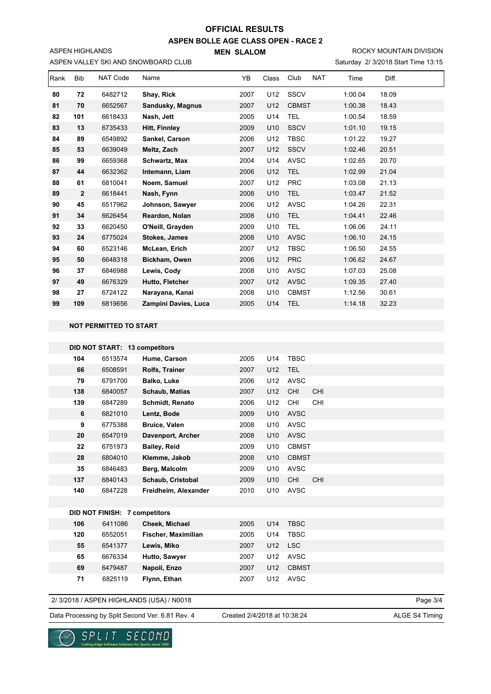**ASPEN BOLLE AGE CLASS OPEN - RACE 2**

**MEN SLALOM** 

Saturday 2/ 3/2018 Start Time 13:15 ROCKY MOUNTAIN DIVISION

#### ASPEN VALLEY SKI AND SNOWBOARD CLUB

ASPEN HIGHLANDS

| Rank | <b>Bib</b>   | NAT Code | Name                 | YB   | Class | Club         | <b>NAT</b> | Time    | Diff. |  |
|------|--------------|----------|----------------------|------|-------|--------------|------------|---------|-------|--|
| 80   | 72           | 6482712  | Shay, Rick           | 2007 | U12   | <b>SSCV</b>  |            | 1:00.04 | 18.09 |  |
| 81   | 70           | 6652567  | Sandusky, Magnus     | 2007 | U12   | <b>CBMST</b> |            | 1:00.38 | 18.43 |  |
| 82   | 101          | 6618433  | Nash, Jett           | 2005 | U14   | <b>TEL</b>   |            | 1:00.54 | 18.59 |  |
| 83   | 13           | 6735433  | <b>Hitt, Finnley</b> | 2009 | U10   | <b>SSCV</b>  |            | 1:01.10 | 19.15 |  |
| 84   | 89           | 6549892  | Sankel, Carson       | 2006 | U12   | <b>TBSC</b>  |            | 1:01.22 | 19.27 |  |
| 85   | 53           | 6639049  | Meltz, Zach          | 2007 | U12   | <b>SSCV</b>  |            | 1:02.46 | 20.51 |  |
| 86   | 99           | 6659368  | Schwartz, Max        | 2004 | U14   | <b>AVSC</b>  |            | 1:02.65 | 20.70 |  |
| 87   | 44           | 6632362  | Intemann, Liam       | 2006 | U12   | <b>TEL</b>   |            | 1:02.99 | 21.04 |  |
| 88   | 61           | 6810041  | Noem, Samuel         | 2007 | U12   | <b>PRC</b>   |            | 1:03.08 | 21.13 |  |
| 89   | $\mathbf{2}$ | 6618441  | Nash, Fynn           | 2008 | U10   | <b>TEL</b>   |            | 1:03.47 | 21.52 |  |
| 90   | 45           | 6517962  | Johnson, Sawyer      | 2006 | U12   | <b>AVSC</b>  |            | 1:04.26 | 22.31 |  |
| 91   | 34           | 6626454  | Reardon, Nolan       | 2008 | U10   | <b>TEL</b>   |            | 1:04.41 | 22.46 |  |
| 92   | 33           | 6620450  | O'Neill, Grayden     | 2009 | U10   | <b>TEL</b>   |            | 1:06.06 | 24.11 |  |
| 93   | 24           | 6775024  | <b>Stokes, James</b> | 2008 | U10   | <b>AVSC</b>  |            | 1:06.10 | 24.15 |  |
| 94   | 60           | 6523146  | McLean, Erich        | 2007 | U12   | <b>TBSC</b>  |            | 1:06.50 | 24.55 |  |
| 95   | 50           | 6648318  | Bickham, Owen        | 2006 | U12   | <b>PRC</b>   |            | 1:06.62 | 24.67 |  |
| 96   | 37           | 6846988  | Lewis, Cody          | 2008 | U10   | <b>AVSC</b>  |            | 1:07.03 | 25.08 |  |
| 97   | 49           | 6676329  | Hutto, Fletcher      | 2007 | U12   | <b>AVSC</b>  |            | 1:09.35 | 27.40 |  |
| 98   | 27           | 6724122  | Narayana, Kanai      | 2008 | U10   | <b>CBMST</b> |            | 1:12.56 | 30.61 |  |
| 99   | 109          | 6819656  | Zampini Davies, Luca | 2005 | U14   | <b>TEL</b>   |            | 1:14.18 | 32.23 |  |
|      |              |          |                      |      |       |              |            |         |       |  |

 **NOT PERMITTED TO START**

|     | DID NOT START: 13 competitors        |                        |      |     |              |            |
|-----|--------------------------------------|------------------------|------|-----|--------------|------------|
| 104 | 6513574                              | Hume, Carson           | 2005 | U14 | <b>TBSC</b>  |            |
| 66  | 6508591                              | Rolfs, Trainer         | 2007 | U12 | <b>TEL</b>   |            |
| 79  | 6791700                              | Balko, Luke            | 2006 | U12 | <b>AVSC</b>  |            |
| 138 | 6840057                              | <b>Schaub, Matias</b>  | 2007 | U12 | CHI          | <b>CHI</b> |
| 139 | 6847289                              | <b>Schmidt, Renato</b> | 2006 | U12 | <b>CHI</b>   | CHI        |
| 6   | 6821010                              | Lentz, Bode            | 2009 | U10 | <b>AVSC</b>  |            |
| 9   | 6775388                              | <b>Bruice, Valen</b>   | 2008 | U10 | <b>AVSC</b>  |            |
| 20  | 6547019                              | Davenport, Archer      | 2008 | U10 | <b>AVSC</b>  |            |
| 22  | 6751973                              | <b>Bailey, Reid</b>    | 2009 | U10 | <b>CBMST</b> |            |
| 28  | 6804010                              | Klemme, Jakob          | 2008 | U10 | <b>CBMST</b> |            |
| 35  | 6846483                              | Berg, Malcolm          | 2009 | U10 | <b>AVSC</b>  |            |
| 137 | 6840143                              | Schaub, Cristobal      | 2009 | U10 | <b>CHI</b>   | CHI        |
| 140 | 6847228                              | Freidheim, Alexander   | 2010 | U10 | <b>AVSC</b>  |            |
|     |                                      |                        |      |     |              |            |
|     | <b>DID NOT FINISH: 7 competitors</b> |                        |      |     |              |            |
| 106 | 6411086                              | Cheek, Michael         | 2005 | U14 | <b>TBSC</b>  |            |
| 120 | 6552051                              | Fischer, Maximilian    | 2005 | U14 | <b>TBSC</b>  |            |
| 55  | 6541377                              | Lewis, Miko            | 2007 | U12 | <b>LSC</b>   |            |
| 65  | 6676334                              | Hutto, Sawyer          | 2007 | U12 | <b>AVSC</b>  |            |
| 69  | 6479487                              | Napoli, Enzo           | 2007 | U12 | <b>CBMST</b> |            |
| 71  | 6825119                              | Flynn, Ethan           | 2007 | U12 | <b>AVSC</b>  |            |
|     |                                      |                        |      |     |              |            |

2/ 3/2018 / ASPEN HIGHLANDS (USA) / N0018

Page 3/4

Data Processing by Split Second Ver. 6.81 Rev. 4 Created 2/4/2018 at 10:38:24 ALGE S4 Timing

Created 2/4/2018 at 10:38:24